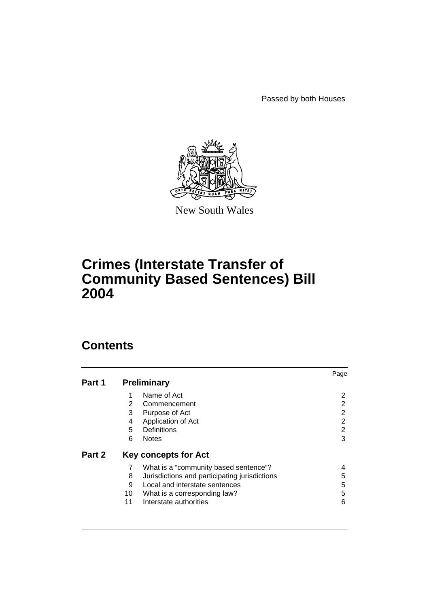Passed by both Houses



New South Wales

# **Crimes (Interstate Transfer of Community Based Sentences) Bill 2004**

# **Contents**

|        |                             |                                               | Page |  |  |
|--------|-----------------------------|-----------------------------------------------|------|--|--|
| Part 1 |                             | <b>Preliminary</b>                            |      |  |  |
|        |                             | Name of Act                                   | 2    |  |  |
|        | 2                           | Commencement                                  |      |  |  |
|        | 3                           | Purpose of Act                                | 2    |  |  |
|        | 4                           | Application of Act                            | 2    |  |  |
|        | 5                           | Definitions                                   | 2    |  |  |
|        | 6                           | <b>Notes</b>                                  | 3    |  |  |
| Part 2 | <b>Key concepts for Act</b> |                                               |      |  |  |
|        |                             | What is a "community based sentence"?         |      |  |  |
|        | 8                           | Jurisdictions and participating jurisdictions | 5    |  |  |
|        | 9                           | Local and interstate sentences                | 5    |  |  |
|        | 10                          | What is a corresponding law?                  | 5    |  |  |
|        | 11                          | Interstate authorities                        | 6    |  |  |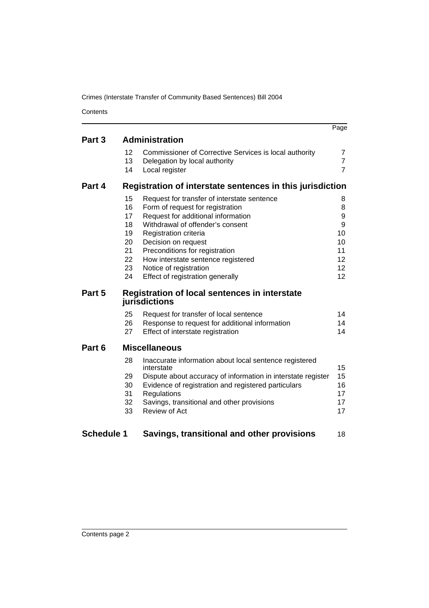Crimes (Interstate Transfer of Community Based Sentences) Bill 2004

**Contents** 

|                   |                                                                |                                                                      | Page           |  |
|-------------------|----------------------------------------------------------------|----------------------------------------------------------------------|----------------|--|
| Part 3            | <b>Administration</b>                                          |                                                                      |                |  |
|                   | 12                                                             | Commissioner of Corrective Services is local authority               | 7              |  |
|                   | 13                                                             | Delegation by local authority                                        | $\overline{7}$ |  |
|                   | 14                                                             | Local register                                                       | $\overline{7}$ |  |
| Part 4            | Registration of interstate sentences in this jurisdiction      |                                                                      |                |  |
|                   | 15                                                             | Request for transfer of interstate sentence                          | 8              |  |
|                   | 16                                                             | Form of request for registration                                     | 8              |  |
|                   | 17                                                             | Request for additional information                                   | 9              |  |
|                   | 18                                                             | Withdrawal of offender's consent                                     | 9              |  |
|                   | 19                                                             | Registration criteria                                                | 10             |  |
|                   | 20                                                             | Decision on request                                                  | 10             |  |
|                   | 21<br>22                                                       | Preconditions for registration                                       | 11             |  |
|                   | 23                                                             | How interstate sentence registered<br>Notice of registration         | 12<br>12       |  |
|                   | 24                                                             | Effect of registration generally                                     | 12             |  |
|                   |                                                                |                                                                      |                |  |
| Part 5            | Registration of local sentences in interstate<br>jurisdictions |                                                                      |                |  |
|                   | 25                                                             | Request for transfer of local sentence                               | 14             |  |
|                   | 26                                                             | Response to request for additional information                       | 14             |  |
|                   | 27                                                             | Effect of interstate registration                                    | 14             |  |
| Part 6            |                                                                | <b>Miscellaneous</b>                                                 |                |  |
|                   | 28                                                             | Inaccurate information about local sentence registered<br>interstate | 15             |  |
|                   | 29                                                             | Dispute about accuracy of information in interstate register         | 15             |  |
|                   | 30                                                             | Evidence of registration and registered particulars                  | 16             |  |
|                   | 31                                                             | Regulations                                                          | 17             |  |
|                   | 32                                                             | Savings, transitional and other provisions                           | 17             |  |
|                   | 33                                                             | <b>Review of Act</b>                                                 | 17             |  |
|                   |                                                                |                                                                      |                |  |
| <b>Schedule 1</b> |                                                                | Savings, transitional and other provisions                           | 18             |  |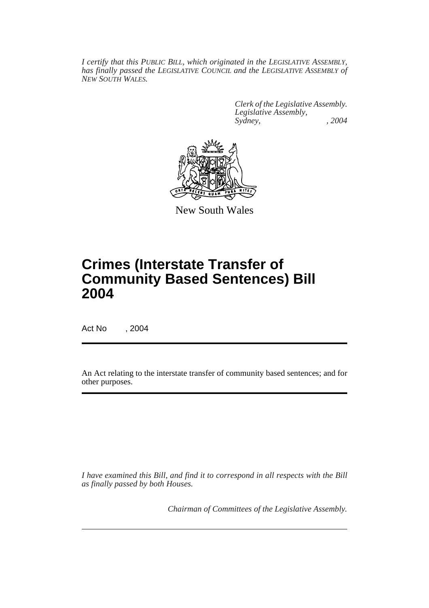*I certify that this PUBLIC BILL, which originated in the LEGISLATIVE ASSEMBLY, has finally passed the LEGISLATIVE COUNCIL and the LEGISLATIVE ASSEMBLY of NEW SOUTH WALES.*

> *Clerk of the Legislative Assembly. Legislative Assembly, Sydney, , 2004*



New South Wales

# **Crimes (Interstate Transfer of Community Based Sentences) Bill 2004**

Act No , 2004

An Act relating to the interstate transfer of community based sentences; and for other purposes.

*I have examined this Bill, and find it to correspond in all respects with the Bill as finally passed by both Houses.*

*Chairman of Committees of the Legislative Assembly.*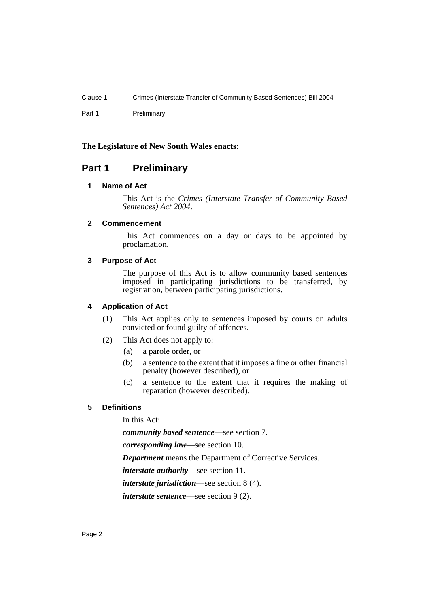Clause 1 Crimes (Interstate Transfer of Community Based Sentences) Bill 2004

Part 1 Preliminary

## **The Legislature of New South Wales enacts:**

# **Part 1 Preliminary**

# **1 Name of Act**

This Act is the *Crimes (Interstate Transfer of Community Based Sentences) Act 2004*.

## **2 Commencement**

This Act commences on a day or days to be appointed by proclamation.

## **3 Purpose of Act**

The purpose of this Act is to allow community based sentences imposed in participating jurisdictions to be transferred, by registration, between participating jurisdictions.

## **4 Application of Act**

- (1) This Act applies only to sentences imposed by courts on adults convicted or found guilty of offences.
- (2) This Act does not apply to:
	- (a) a parole order, or
	- (b) a sentence to the extent that it imposes a fine or other financial penalty (however described), or
	- (c) a sentence to the extent that it requires the making of reparation (however described).

# **5 Definitions**

In this Act:

*community based sentence*—see section 7.

*corresponding law*—see section 10.

*Department* means the Department of Corrective Services.

*interstate authority*—see section 11.

*interstate jurisdiction*—see section 8 (4).

*interstate sentence*—see section 9 (2).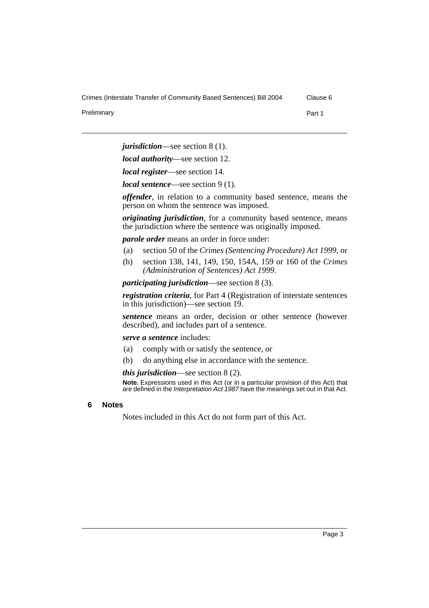Crimes (Interstate Transfer of Community Based Sentences) Bill 2004 Clause 6

Preliminary **Part 1** 

*jurisdiction*—see section 8 (1).

*local authority*—see section 12.

*local register*—see section 14.

*local sentence*—see section 9 (1).

*offender*, in relation to a community based sentence, means the person on whom the sentence was imposed.

*originating jurisdiction*, for a community based sentence, means the jurisdiction where the sentence was originally imposed.

*parole order* means an order in force under:

- (a) section 50 of the *Crimes (Sentencing Procedure) Act 1999*, or
- (b) section 138, 141, 149, 150, 154A, 159 or 160 of the *Crimes (Administration of Sentences) Act 1999*.

*participating jurisdiction*—see section 8 (3).

*registration criteria*, for Part 4 (Registration of interstate sentences in this jurisdiction)—see section 19.

*sentence* means an order, decision or other sentence (however described), and includes part of a sentence.

#### *serve a sentence* includes:

- (a) comply with or satisfy the sentence, or
- (b) do anything else in accordance with the sentence.

*this jurisdiction*—see section 8 (2).

**Note.** Expressions used in this Act (or in a particular provision of this Act) that are defined in the *Interpretation Act 1987* have the meanings set out in that Act.

#### **6 Notes**

Notes included in this Act do not form part of this Act.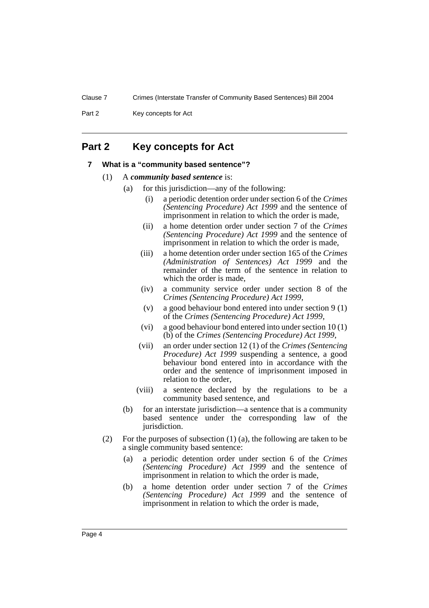Clause 7 Crimes (Interstate Transfer of Community Based Sentences) Bill 2004

Part 2 Key concepts for Act

# **Part 2 Key concepts for Act**

#### **7 What is a "community based sentence"?**

- (1) A *community based sentence* is:
	- (a) for this jurisdiction—any of the following:
		- (i) a periodic detention order under section 6 of the *Crimes (Sentencing Procedure) Act 1999* and the sentence of imprisonment in relation to which the order is made,
		- (ii) a home detention order under section 7 of the *Crimes (Sentencing Procedure) Act 1999* and the sentence of imprisonment in relation to which the order is made,
		- (iii) a home detention order under section 165 of the *Crimes (Administration of Sentences) Act 1999* and the remainder of the term of the sentence in relation to which the order is made.
		- (iv) a community service order under section 8 of the *Crimes (Sentencing Procedure) Act 1999*,
		- (v) a good behaviour bond entered into under section 9 (1) of the *Crimes (Sentencing Procedure) Act 1999*,
		- (vi) a good behaviour bond entered into under section 10 (1) (b) of the *Crimes (Sentencing Procedure) Act 1999*,
		- (vii) an order under section 12 (1) of the *Crimes (Sentencing Procedure) Act 1999* suspending a sentence, a good behaviour bond entered into in accordance with the order and the sentence of imprisonment imposed in relation to the order,
		- (viii) a sentence declared by the regulations to be a community based sentence, and
	- (b) for an interstate jurisdiction—a sentence that is a community based sentence under the corresponding law of the jurisdiction.
- (2) For the purposes of subsection (1) (a), the following are taken to be a single community based sentence:
	- (a) a periodic detention order under section 6 of the *Crimes (Sentencing Procedure) Act 1999* and the sentence of imprisonment in relation to which the order is made,
	- (b) a home detention order under section 7 of the *Crimes (Sentencing Procedure) Act 1999* and the sentence of imprisonment in relation to which the order is made,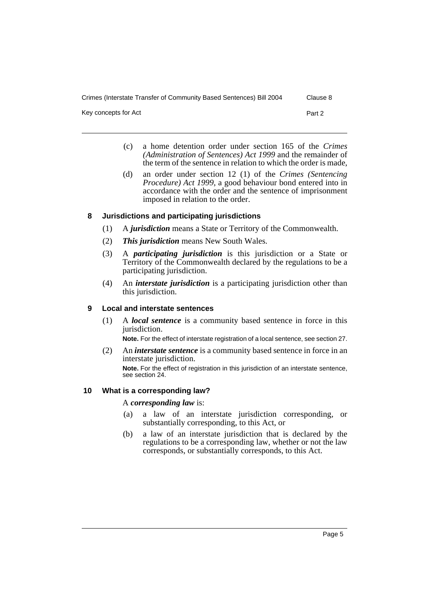Crimes (Interstate Transfer of Community Based Sentences) Bill 2004 Clause 8

Key concepts for Act Part 2

- (c) a home detention order under section 165 of the *Crimes (Administration of Sentences) Act 1999* and the remainder of the term of the sentence in relation to which the order is made,
- (d) an order under section 12 (1) of the *Crimes (Sentencing Procedure) Act 1999*, a good behaviour bond entered into in accordance with the order and the sentence of imprisonment imposed in relation to the order.

## **8 Jurisdictions and participating jurisdictions**

- (1) A *jurisdiction* means a State or Territory of the Commonwealth.
- (2) *This jurisdiction* means New South Wales.
- (3) A *participating jurisdiction* is this jurisdiction or a State or Territory of the Commonwealth declared by the regulations to be a participating jurisdiction.
- (4) An *interstate jurisdiction* is a participating jurisdiction other than this jurisdiction.

#### **9 Local and interstate sentences**

(1) A *local sentence* is a community based sentence in force in this jurisdiction.

**Note.** For the effect of interstate registration of a local sentence, see section 27.

(2) An *interstate sentence* is a community based sentence in force in an interstate jurisdiction. **Note.** For the effect of registration in this jurisdiction of an interstate sentence, see section 24.

#### **10 What is a corresponding law?**

#### A *corresponding law* is:

- (a) a law of an interstate jurisdiction corresponding, or substantially corresponding, to this Act, or
- (b) a law of an interstate jurisdiction that is declared by the regulations to be a corresponding law, whether or not the law corresponds, or substantially corresponds, to this Act.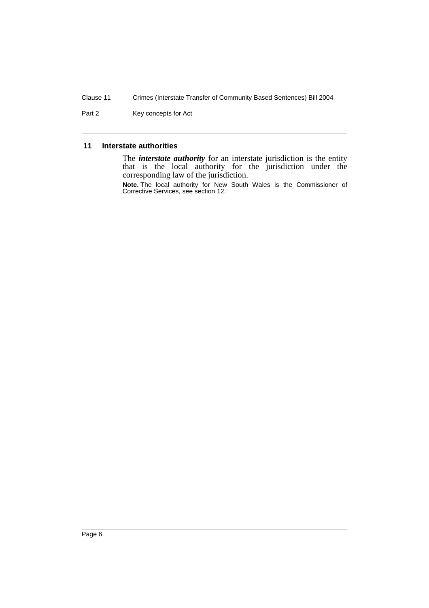Clause 11 Crimes (Interstate Transfer of Community Based Sentences) Bill 2004

Part 2 Key concepts for Act

## **11 Interstate authorities**

The *interstate authority* for an interstate jurisdiction is the entity that is the local authority for the jurisdiction under the corresponding law of the jurisdiction.

**Note.** The local authority for New South Wales is the Commissioner of Corrective Services, see section 12.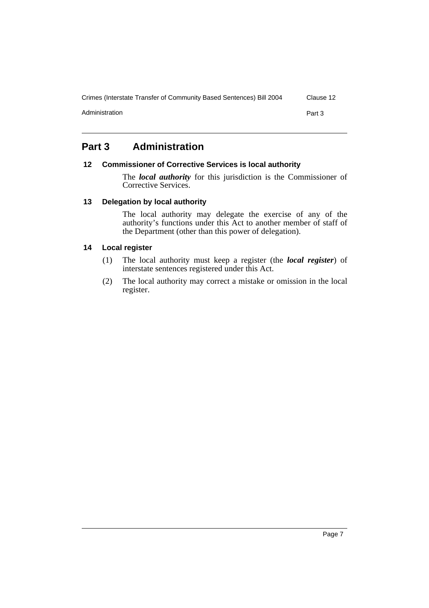Crimes (Interstate Transfer of Community Based Sentences) Bill 2004 Clause 12 Administration **Part 3** 

# **Part 3 Administration**

#### **12 Commissioner of Corrective Services is local authority**

The *local authority* for this jurisdiction is the Commissioner of Corrective Services.

## **13 Delegation by local authority**

The local authority may delegate the exercise of any of the authority's functions under this Act to another member of staff of the Department (other than this power of delegation).

#### **14 Local register**

- (1) The local authority must keep a register (the *local register*) of interstate sentences registered under this Act.
- (2) The local authority may correct a mistake or omission in the local register.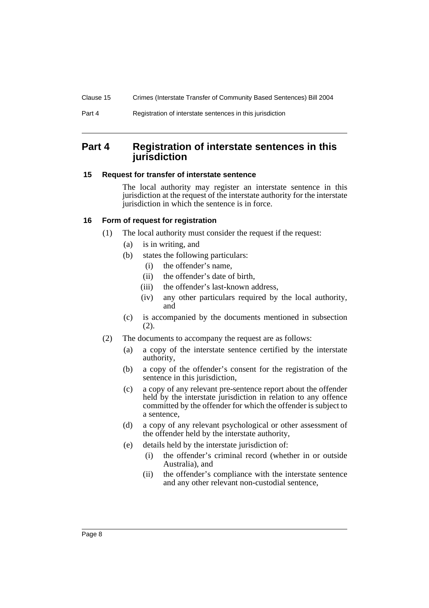# **Part 4 Registration of interstate sentences in this jurisdiction**

## **15 Request for transfer of interstate sentence**

The local authority may register an interstate sentence in this jurisdiction at the request of the interstate authority for the interstate jurisdiction in which the sentence is in force.

# **16 Form of request for registration**

- (1) The local authority must consider the request if the request:
	- (a) is in writing, and
	- (b) states the following particulars:
		- (i) the offender's name,
		- (ii) the offender's date of birth,
		- (iii) the offender's last-known address,
		- (iv) any other particulars required by the local authority, and
	- (c) is accompanied by the documents mentioned in subsection (2).
- (2) The documents to accompany the request are as follows:
	- (a) a copy of the interstate sentence certified by the interstate authority,
	- (b) a copy of the offender's consent for the registration of the sentence in this jurisdiction,
	- (c) a copy of any relevant pre-sentence report about the offender held by the interstate jurisdiction in relation to any offence committed by the offender for which the offender is subject to a sentence,
	- (d) a copy of any relevant psychological or other assessment of the offender held by the interstate authority,
	- (e) details held by the interstate jurisdiction of:
		- (i) the offender's criminal record (whether in or outside Australia), and
		- (ii) the offender's compliance with the interstate sentence and any other relevant non-custodial sentence,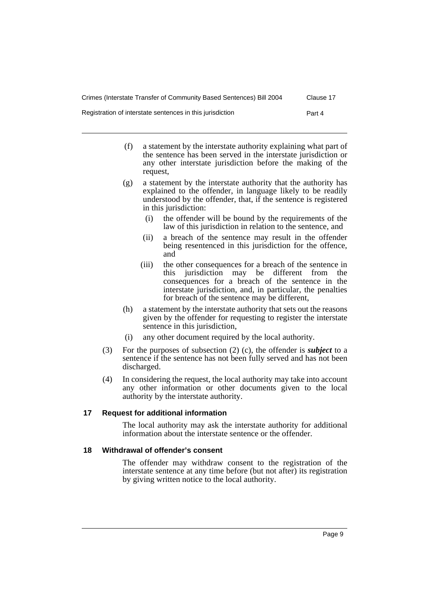Registration of interstate sentences in this jurisdiction Part 4

- (f) a statement by the interstate authority explaining what part of the sentence has been served in the interstate jurisdiction or any other interstate jurisdiction before the making of the request,
- (g) a statement by the interstate authority that the authority has explained to the offender, in language likely to be readily understood by the offender, that, if the sentence is registered in this jurisdiction:
	- (i) the offender will be bound by the requirements of the law of this jurisdiction in relation to the sentence, and
	- (ii) a breach of the sentence may result in the offender being resentenced in this jurisdiction for the offence, and
	- (iii) the other consequences for a breach of the sentence in<br>this iurisdiction may be different from the jurisdiction may be different from the consequences for a breach of the sentence in the interstate jurisdiction, and, in particular, the penalties for breach of the sentence may be different,
- (h) a statement by the interstate authority that sets out the reasons given by the offender for requesting to register the interstate sentence in this jurisdiction,
- (i) any other document required by the local authority.
- (3) For the purposes of subsection (2) (c), the offender is *subject* to a sentence if the sentence has not been fully served and has not been discharged.
- (4) In considering the request, the local authority may take into account any other information or other documents given to the local authority by the interstate authority.

#### **17 Request for additional information**

The local authority may ask the interstate authority for additional information about the interstate sentence or the offender.

#### **18 Withdrawal of offender's consent**

The offender may withdraw consent to the registration of the interstate sentence at any time before (but not after) its registration by giving written notice to the local authority.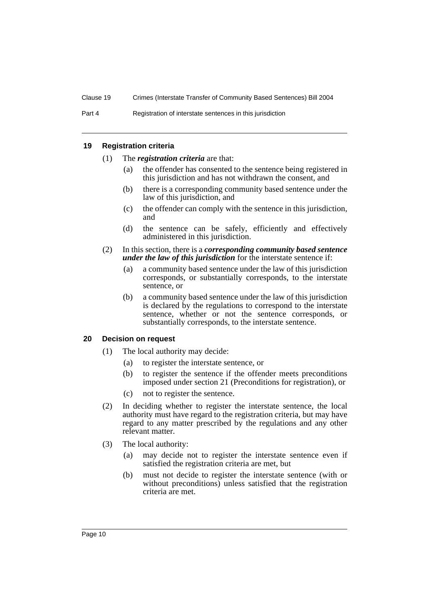#### **19 Registration criteria**

- (1) The *registration criteria* are that:
	- (a) the offender has consented to the sentence being registered in this jurisdiction and has not withdrawn the consent, and
	- (b) there is a corresponding community based sentence under the law of this jurisdiction, and
	- (c) the offender can comply with the sentence in this jurisdiction, and
	- (d) the sentence can be safely, efficiently and effectively administered in this jurisdiction.

#### (2) In this section, there is a *corresponding community based sentence under the law of this jurisdiction* for the interstate sentence if:

- (a) a community based sentence under the law of this jurisdiction corresponds, or substantially corresponds, to the interstate sentence, or
- (b) a community based sentence under the law of this jurisdiction is declared by the regulations to correspond to the interstate sentence, whether or not the sentence corresponds, or substantially corresponds, to the interstate sentence.

#### **20 Decision on request**

- (1) The local authority may decide:
	- (a) to register the interstate sentence, or
	- (b) to register the sentence if the offender meets preconditions imposed under section 21 (Preconditions for registration), or
	- (c) not to register the sentence.
- (2) In deciding whether to register the interstate sentence, the local authority must have regard to the registration criteria, but may have regard to any matter prescribed by the regulations and any other relevant matter.
- (3) The local authority:
	- (a) may decide not to register the interstate sentence even if satisfied the registration criteria are met, but
	- (b) must not decide to register the interstate sentence (with or without preconditions) unless satisfied that the registration criteria are met.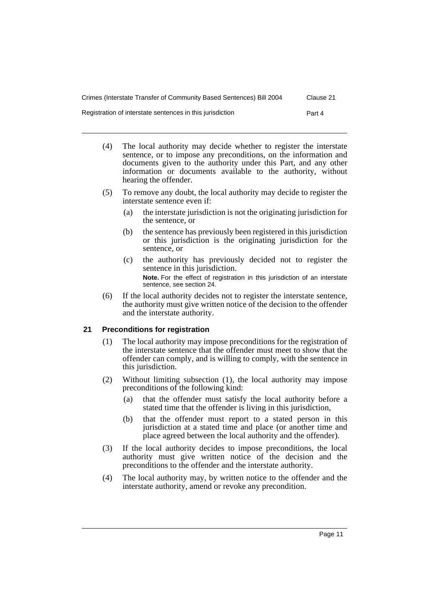| Crimes (Interstate Transfer of Community Based Sentences) Bill 2004 | Clause 21 |
|---------------------------------------------------------------------|-----------|
| Registration of interstate sentences in this jurisdiction           | Part 4    |

- (4) The local authority may decide whether to register the interstate sentence, or to impose any preconditions, on the information and documents given to the authority under this Part, and any other information or documents available to the authority, without hearing the offender.
- (5) To remove any doubt, the local authority may decide to register the interstate sentence even if:
	- (a) the interstate jurisdiction is not the originating jurisdiction for the sentence, or
	- (b) the sentence has previously been registered in this jurisdiction or this jurisdiction is the originating jurisdiction for the sentence, or
	- (c) the authority has previously decided not to register the sentence in this jurisdiction. **Note.** For the effect of registration in this jurisdiction of an interstate sentence, see section 24.
- (6) If the local authority decides not to register the interstate sentence, the authority must give written notice of the decision to the offender and the interstate authority.

# **21 Preconditions for registration**

- (1) The local authority may impose preconditions for the registration of the interstate sentence that the offender must meet to show that the offender can comply, and is willing to comply, with the sentence in this jurisdiction.
- (2) Without limiting subsection (1), the local authority may impose preconditions of the following kind:
	- (a) that the offender must satisfy the local authority before a stated time that the offender is living in this jurisdiction,
	- (b) that the offender must report to a stated person in this jurisdiction at a stated time and place (or another time and place agreed between the local authority and the offender).
- (3) If the local authority decides to impose preconditions, the local authority must give written notice of the decision and the preconditions to the offender and the interstate authority.
- (4) The local authority may, by written notice to the offender and the interstate authority, amend or revoke any precondition.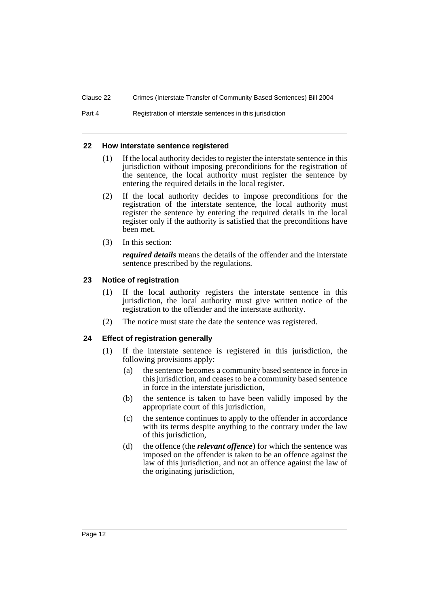Part 4 Registration of interstate sentences in this jurisdiction

#### **22 How interstate sentence registered**

- (1) If the local authority decides to register the interstate sentence in this jurisdiction without imposing preconditions for the registration of the sentence, the local authority must register the sentence by entering the required details in the local register.
- (2) If the local authority decides to impose preconditions for the registration of the interstate sentence, the local authority must register the sentence by entering the required details in the local register only if the authority is satisfied that the preconditions have been met.
- (3) In this section:

*required details* means the details of the offender and the interstate sentence prescribed by the regulations.

#### **23 Notice of registration**

- (1) If the local authority registers the interstate sentence in this jurisdiction, the local authority must give written notice of the registration to the offender and the interstate authority.
- (2) The notice must state the date the sentence was registered.

# **24 Effect of registration generally**

- (1) If the interstate sentence is registered in this jurisdiction, the following provisions apply:
	- (a) the sentence becomes a community based sentence in force in this jurisdiction, and ceases to be a community based sentence in force in the interstate jurisdiction,
	- (b) the sentence is taken to have been validly imposed by the appropriate court of this jurisdiction,
	- (c) the sentence continues to apply to the offender in accordance with its terms despite anything to the contrary under the law of this jurisdiction,
	- (d) the offence (the *relevant offence*) for which the sentence was imposed on the offender is taken to be an offence against the law of this jurisdiction, and not an offence against the law of the originating jurisdiction,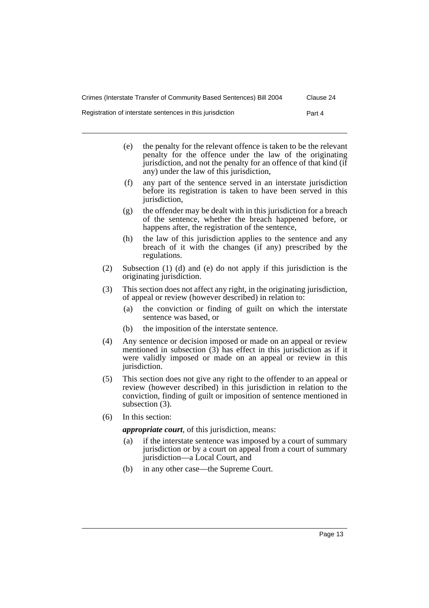- (e) the penalty for the relevant offence is taken to be the relevant penalty for the offence under the law of the originating jurisdiction, and not the penalty for an offence of that kind (if any) under the law of this jurisdiction,
- (f) any part of the sentence served in an interstate jurisdiction before its registration is taken to have been served in this jurisdiction.
- (g) the offender may be dealt with in this jurisdiction for a breach of the sentence, whether the breach happened before, or happens after, the registration of the sentence,
- (h) the law of this jurisdiction applies to the sentence and any breach of it with the changes (if any) prescribed by the regulations.
- (2) Subsection (1) (d) and (e) do not apply if this jurisdiction is the originating jurisdiction.
- (3) This section does not affect any right, in the originating jurisdiction, of appeal or review (however described) in relation to:
	- (a) the conviction or finding of guilt on which the interstate sentence was based, or
	- (b) the imposition of the interstate sentence.
- (4) Any sentence or decision imposed or made on an appeal or review mentioned in subsection (3) has effect in this jurisdiction as if it were validly imposed or made on an appeal or review in this jurisdiction.
- (5) This section does not give any right to the offender to an appeal or review (however described) in this jurisdiction in relation to the conviction, finding of guilt or imposition of sentence mentioned in subsection (3).
- (6) In this section:

*appropriate court*, of this jurisdiction, means:

- (a) if the interstate sentence was imposed by a court of summary jurisdiction or by a court on appeal from a court of summary jurisdiction—a Local Court, and
- (b) in any other case—the Supreme Court.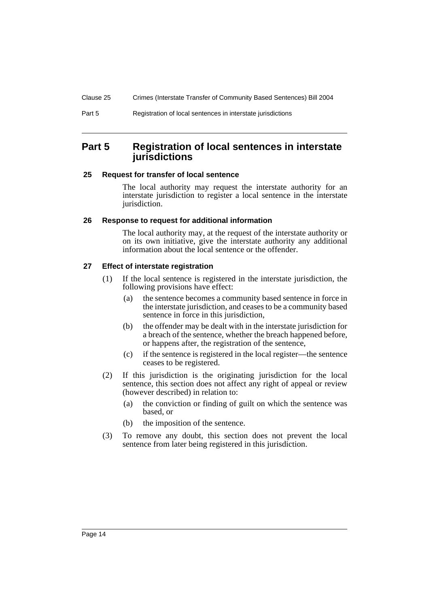# **Part 5 Registration of local sentences in interstate jurisdictions**

#### **25 Request for transfer of local sentence**

The local authority may request the interstate authority for an interstate jurisdiction to register a local sentence in the interstate jurisdiction.

#### **26 Response to request for additional information**

The local authority may, at the request of the interstate authority or on its own initiative, give the interstate authority any additional information about the local sentence or the offender.

## **27 Effect of interstate registration**

- (1) If the local sentence is registered in the interstate jurisdiction, the following provisions have effect:
	- (a) the sentence becomes a community based sentence in force in the interstate jurisdiction, and ceases to be a community based sentence in force in this jurisdiction,
	- (b) the offender may be dealt with in the interstate jurisdiction for a breach of the sentence, whether the breach happened before, or happens after, the registration of the sentence,
	- (c) if the sentence is registered in the local register—the sentence ceases to be registered.
- (2) If this jurisdiction is the originating jurisdiction for the local sentence, this section does not affect any right of appeal or review (however described) in relation to:
	- (a) the conviction or finding of guilt on which the sentence was based, or
	- (b) the imposition of the sentence.
- (3) To remove any doubt, this section does not prevent the local sentence from later being registered in this jurisdiction.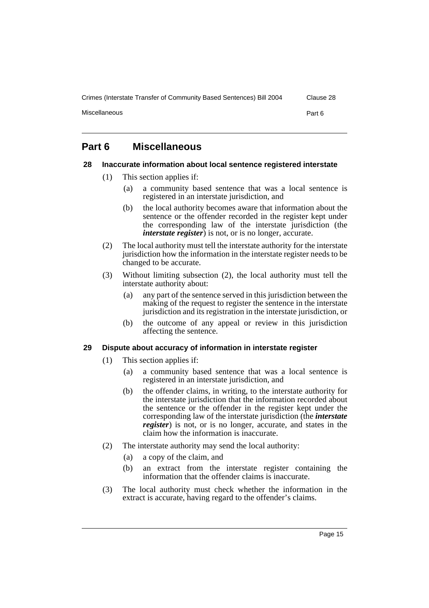Crimes (Interstate Transfer of Community Based Sentences) Bill 2004 Clause 28

Miscellaneous **Part 6** 

# **Part 6 Miscellaneous**

#### **28 Inaccurate information about local sentence registered interstate**

- (1) This section applies if:
	- (a) a community based sentence that was a local sentence is registered in an interstate jurisdiction, and
	- (b) the local authority becomes aware that information about the sentence or the offender recorded in the register kept under the corresponding law of the interstate jurisdiction (the *interstate register*) is not, or is no longer, accurate.
- (2) The local authority must tell the interstate authority for the interstate jurisdiction how the information in the interstate register needs to be changed to be accurate.
- (3) Without limiting subsection (2), the local authority must tell the interstate authority about:
	- (a) any part of the sentence served in this jurisdiction between the making of the request to register the sentence in the interstate jurisdiction and its registration in the interstate jurisdiction, or
	- (b) the outcome of any appeal or review in this jurisdiction affecting the sentence.

# **29 Dispute about accuracy of information in interstate register**

- (1) This section applies if:
	- (a) a community based sentence that was a local sentence is registered in an interstate jurisdiction, and
	- (b) the offender claims, in writing, to the interstate authority for the interstate jurisdiction that the information recorded about the sentence or the offender in the register kept under the corresponding law of the interstate jurisdiction (the *interstate register*) is not, or is no longer, accurate, and states in the claim how the information is inaccurate.
- (2) The interstate authority may send the local authority:
	- (a) a copy of the claim, and
	- (b) an extract from the interstate register containing the information that the offender claims is inaccurate.
- (3) The local authority must check whether the information in the extract is accurate, having regard to the offender's claims.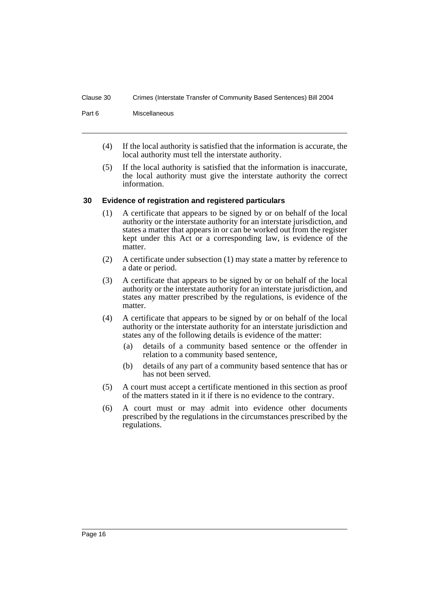#### Clause 30 Crimes (Interstate Transfer of Community Based Sentences) Bill 2004

Part 6 Miscellaneous

- (4) If the local authority is satisfied that the information is accurate, the local authority must tell the interstate authority.
- (5) If the local authority is satisfied that the information is inaccurate, the local authority must give the interstate authority the correct information.

#### **30 Evidence of registration and registered particulars**

- (1) A certificate that appears to be signed by or on behalf of the local authority or the interstate authority for an interstate jurisdiction, and states a matter that appears in or can be worked out from the register kept under this Act or a corresponding law, is evidence of the matter.
- (2) A certificate under subsection (1) may state a matter by reference to a date or period.
- (3) A certificate that appears to be signed by or on behalf of the local authority or the interstate authority for an interstate jurisdiction, and states any matter prescribed by the regulations, is evidence of the matter.
- (4) A certificate that appears to be signed by or on behalf of the local authority or the interstate authority for an interstate jurisdiction and states any of the following details is evidence of the matter:
	- (a) details of a community based sentence or the offender in relation to a community based sentence,
	- (b) details of any part of a community based sentence that has or has not been served.
- (5) A court must accept a certificate mentioned in this section as proof of the matters stated in it if there is no evidence to the contrary.
- (6) A court must or may admit into evidence other documents prescribed by the regulations in the circumstances prescribed by the regulations.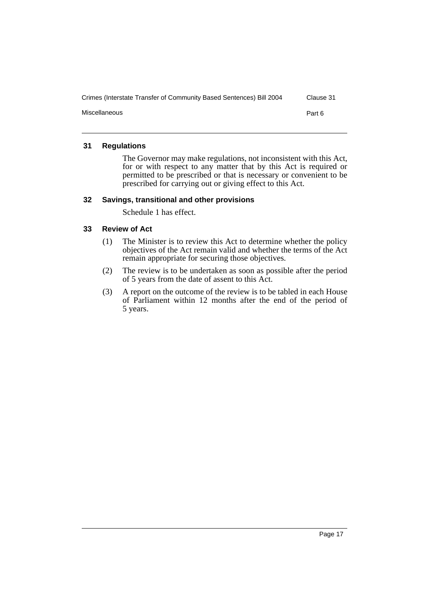| Crimes (Interstate Transfer of Community Based Sentences) Bill 2004 | Clause 31 |
|---------------------------------------------------------------------|-----------|
| Miscellaneous                                                       | Part 6    |

## **31 Regulations**

The Governor may make regulations, not inconsistent with this Act, for or with respect to any matter that by this Act is required or permitted to be prescribed or that is necessary or convenient to be prescribed for carrying out or giving effect to this Act.

#### **32 Savings, transitional and other provisions**

Schedule 1 has effect.

#### **33 Review of Act**

- (1) The Minister is to review this Act to determine whether the policy objectives of the Act remain valid and whether the terms of the Act remain appropriate for securing those objectives.
- (2) The review is to be undertaken as soon as possible after the period of 5 years from the date of assent to this Act.
- (3) A report on the outcome of the review is to be tabled in each House of Parliament within 12 months after the end of the period of 5 years.